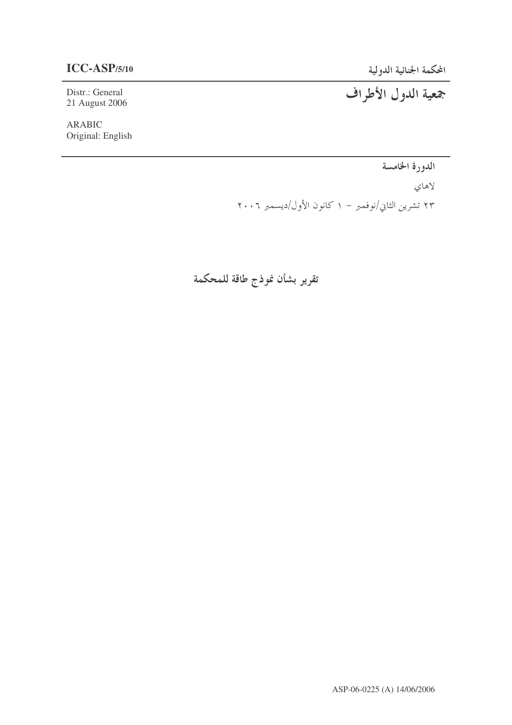Distr.: General 21 August 2006

**ARABIC** Original: English

الدورة الخامسة

لاهاي ۲۳ تشرین الثاني/نوفمبر – ۱ کانون الأول/دیسمبر ۲۰۰۲

تقرير بشأن نموذج طاقة للمحكمة

جمعية الدول الأطراف

ASP-06-0225 (A) 14/06/2006

المحكمة الجنائية الدولية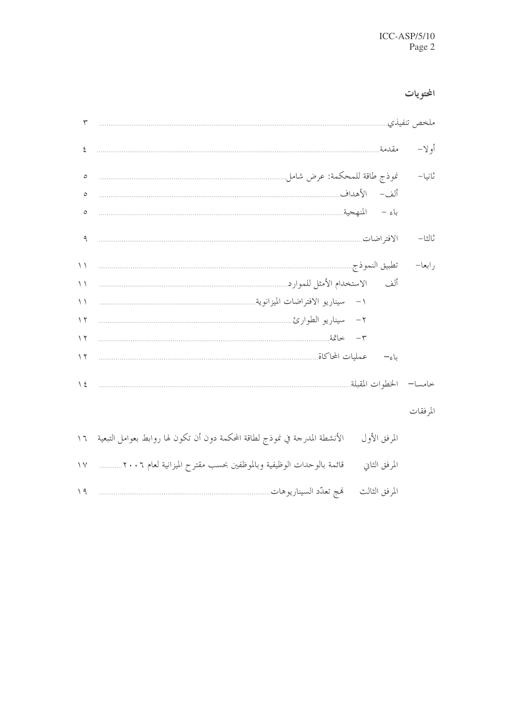# المحتويات

|         | ملخص تنفيذي            |             |
|---------|------------------------|-------------|
| أو لا–  | مقدمة                  | ٤           |
| ثانيا–  |                        | $\circ$     |
|         |                        | $\circ$     |
|         |                        | $\circ$     |
| ثالثا-  |                        | ٩           |
| , ابعا– |                        | $\setminus$ |
|         |                        | $\setminus$ |
|         |                        | $\setminus$ |
|         |                        | $\gamma$    |
|         |                        | $\gamma$    |
|         | ىاء—                   | $\sqrt{ }$  |
|         | خامسا— الخطوات المقبلة | $\sqrt{2}$  |
| $1 + 1$ |                        |             |

# المرفقات

| الأنشطة المدرجة في نموذج لطاقة المحكمة دون أن تكون لها روابط بعوامل التبعية ــ ١٦ | المرفق الأول  |
|-----------------------------------------------------------------------------------|---------------|
|                                                                                   | المرفق الثاني |
|                                                                                   |               |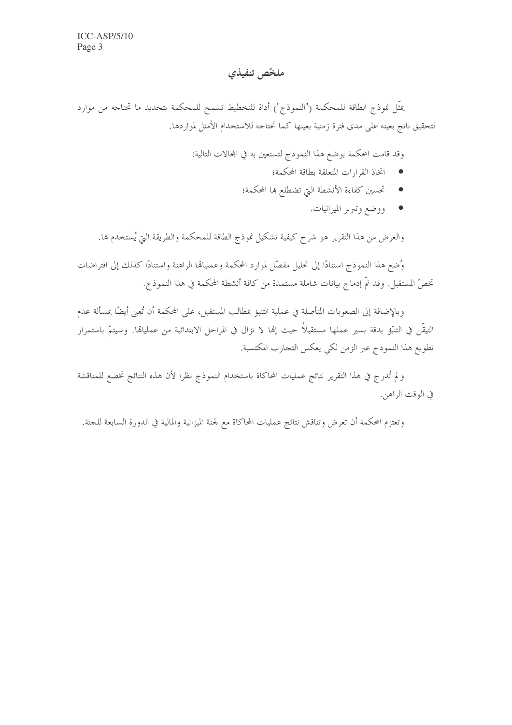# ملخّص تنفيذي

يمثَّل نموذج الطاقة للمحكمة ("النموذج") أداة للتخطيط تسمح للمحكمة بتحديد ما تحتاجه من موارد لتحقيق ناتج بعينه على مدى فترة زمنية بعينها كما تحتاجه للاستخدام الأمثل لمواردها.

وقد قامت المحكمة بوضع هذا النموذج لتستعين به في المحالات التالية:

- اتخاذ القرارات المتعلقة بطاقة المحكمة؛  $\bullet$
- تحسين كفاءة الأنشطة التي تضطلع ها المحكمة؛
	- ووضع وتبرير الميزانيات.

والغرض من هذا التقرير هو شرح كيفية تشكيل نموذج الطاقة للمحكمة والطريقة التي يُستخدم ها.

وُضع هذا النموذج استنادًا إلى تحليل مفصّل لموارد المحكمة وعملياقما الراهنة واستنادًا كذلك إلى افتراضات تخصُّ المستقبل. وقد تمَّ إدماج بيانات شاملة مستمدة من كافة أنشطة المحكمة في هذا النموذج.

وبالإضافة إلى الصعوبات المتأصلة في عملية التنبؤ بمطالب المستقبل، على المحكمة أن تُعني أيضًا بمسألة عدم التيقّن في التنبَّو بدقة بسير عملها مستقبلاً حيث إنها لا تزال في المراحل الابتدائية من عملياهما. وسيتمّ باستمرار تطويع هذا النموذج عبر الزمن لكي يعكس التجارب المكتسبة.

و لم تُدرج في هذا التقرير نتائج عمليات المحاكاة باستخدام النموذج نظرا لأن هذه النتائج تخضع للمناقشة في الوقت الراهن.

وتعتزم المحكمة أن تعرض وتناقش نتائج عمليات المحاكاة مع لجنة الميزانية والمالية في الدورة السابعة للجنة.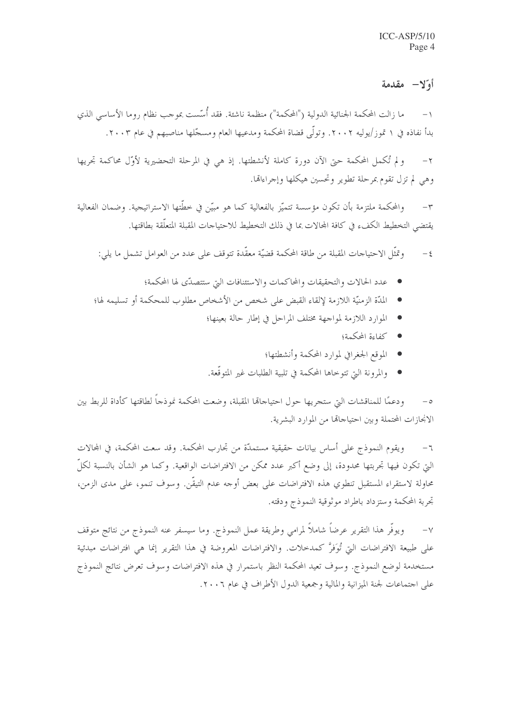# أو"لا- مقدمة

ما زالت المحكمة الجنائية الدولية ("المحكمة") منظمة ناشئة. فقد أُسَّست بموجب نظام روما الأساسي الذي  $-1$ بدأ نفاذه في ١ تموز/يوليه ٢٠٠٢. وتولَّى قضاة المحكمة ومدعيها العام ومسجَّلها مناصبهم في عام ٢٠٠٣.

و لم تُكمل المحكمة حيّ الآن دورة كاملة لأنشطتها. إذ هي في المرحلة التحضيرية لأوّل محاكمة تجريها  $-\tau$ وهي لم تزل تقوم بمرحلة تطوير وتحسين هيكلها وإجراءالها.

والمحكمة ملتزمة بأن تكون مؤسسة تتميَّز بالفعالية كما هو مبيِّن في خطَّتها الاستراتيجية. وضمان الفعالية  $-\tau$ يقتضى التخطيط الكفء في كافة المحالات بما في ذلك التخطيط للاحتياحات المقبلة المتعلَّقة بطاقتها.

وتمثَّل الاحتياجات المقبلة من طاقة المحكمة قضيَّة معقَّدة تتوقف على عدد من العوامل تشمل ما يلي:  $-\xi$ 

- عدد الحالات والتحقيقات والمحاكمات والاستئنافات البت ستتصدّى لها المحكمة؛
- المدّة الزمنيّة اللازمة لإلقاء القبض على شخص من الأشخاص مطلوب للمحكمة أو تسليمه لها؛
	- الموارد اللازمة لمواجهة مختلف المراحل في إطار حالة بعينها؛
		- كفاءة المحكمة؛
		- الموقع الجغرافي لموارد المحكمة وأنشطتها؛
	- والمرونة التي تتوخاها المحكمة في تلبية الطلبات غير المتوقَّعة.

ودعمًا للمناقشات التي ستجريها حول احتياحاقما المقبلة، وضعت المحكمة نموذجاً لطاقتها كأداة للربط بين الانجازات المحتملة وبين احتياجاتها من الموارد البشرية.

ويقوم النموذج على أساس بيانات حقيقية مستمدَّة من تجارب المحكمة. وقد سعت المحكمة، في المحالات  $-$  7 التي تكون فيها تحربتها محدودة، إلى وضع أكبر عدد ممكن من الافتراضات الواقعية. وكما هو الشأن بالنسبة لكلّ محاولة لاستقراء المستقبل تنطوي هذه الافتراضات على بعض أوجه عدم التيقَّن. وسوف تنمو، على مدى الزمن، تحربة المحكمة وستزداد باطراد موثوقية النموذج ودقته.

ويوفُّر هذا التقرير عرضاً شاملاً لمرامي وطريقة عمل النموذج. وما سيسفر عنه النموذج من نتائج متوقف  $-\vee$ على طبيعة الافتراضات التي تُوَفَّرٌ كمدحلات. والافتراضات المعروضة في هذا التقرير إنما هي افتراضات مبدئية مستخدمة لوضع النموذج. وسوف تعيد المحكمة النظر باستمرار في هذه الافتراضات وسوف تعرض نتائج النموذج على احتماعات لجنة الميزانية والمالية وجمعية الدول الأطراف في عام ٢٠٠٦.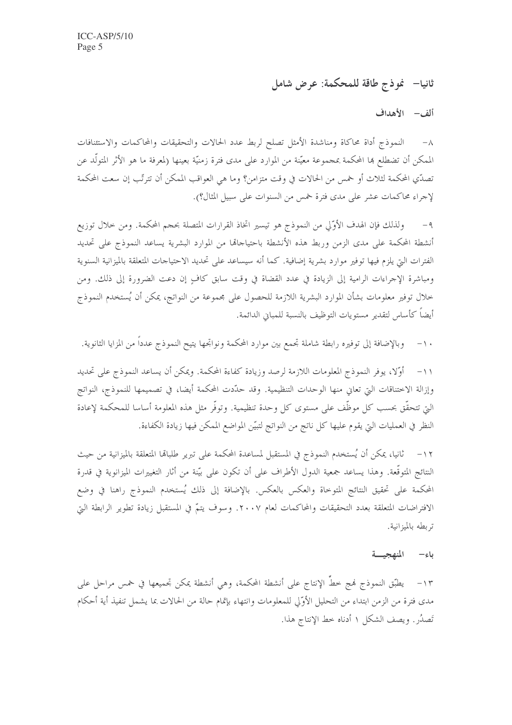ثانيا– فموذج طاقة للمحكمة: عرض شامل

ألف – الأهداف

٨– النموذج أداة محاكاة ومناشدة الأمثل تصلح لربط عدد الحالات والتحقيقات والمحاكمات والاستئنافات الممكن أن تضطلع ها المحكمة بمجموعة معيّنة من الموارد على مدى فترة زمنيّة بعينها (لمعرفة ما هو الأثر المتولّد عن تصدّي المحكمة لثلاث أو خمس من الحالات في وقت متزامن؟ وما هي العواقب الممكن أن تترتّب إن سعت المحكمة لإجراء محاكمات عشر على مدى فترة خمس من السنوات على سبيل المثال؟).

ولذلك فإن الهدف الأوَّلي من النموذج هو تيسير اتخاذ القرارات المتصلة بحجم المحكمة. ومن حلال توزيع  $-9$ أنشطة المحكمة على مدى الزمن وربط هذه الأنشطة باحتياجاقما من الموارد البشرية يساعد النموذج على تحديد الفترات التي يلزم فيها توفير موارد بشرية إضافية. كما أنه سيساعد على تحديد الاحتياجات المتعلقة بالميزانية السنوية ومباشرة الإجراءات الرامية إلى الزيادة في عدد القضاة في وقت سابق كافٍ إن دعت الضرورة إلى ذلك. ومن خلال توفير معلومات بشأن الموارد البشرية اللازمة للحصول على مجموعة من النواتج، يمكن أن يُستخدم النموذج أيضاً كأساس لتقدير مستويات التوظيف بالنسبة للمباني الدائمة.

وبالإضافة إلى توفيره رابطة شاملة تجمع بين موارد المحكمة ونواتجها يتيح النموذج عددا من المزايا الثانوية.  $- \wedge$ 

١١- أوَّلا، يوفر النموذج المعلومات اللازمة لرصد وزيادة كفاءة المحكمة. ويمكن أن يساعد النموذج على تحديد وإزالة الاختناقات التي تعاني منها الوحدات التنظيمية. وقد حدّدت المحكمة أيضا، في تصميمها للنموذج، النواتج التي تتحقَّق بحسب كل موظَّف على مستوى كل وحدة تنظيمية. وتوفَّر مثل هذه المعلومة أساسا للمحكمة لإعادة النظر في العمليات التي يقوم عليها كل ناتج من النواتج لتبيّن المواضع الممكن فيها زيادة الكفاءة.

ثانيا، يمكن أن يُستخدم النموذج في المستقبل لمساعدة المحكمة على تبرير طلبالها المتعلقة بالميزانية من حيث  $-17$ النتائج المتوقَّعة. وهذا يساعد جمعية الدول الأطراف على أن تكون على بيّنة من أثار التغييرات الميزانوية في قدرة المحكمة على تحقيق النتائج المتوحاة والعكس بالعكس. بالإضافة إلى ذلك يُستخدم النموذج راهنا في وضع الافتراضات المتعلقة بعدد التحقيقات والمحاكمات لعام ٢٠٠٧. وسوف يتمّ في المستقبل زيادة تطوير الرابطة التي تر بطه بالميزانية.

### باء المنهجيسة

١٣- يطبّق النموذج فمج خطُّ الإنتاج على أنشطة المحكمة، وهي أنشطة يمكن تجميعها في خمس مراحل على مدى فترة من الزمن ابتداء من التحليل الأوَّلي للمعلومات وانتهاء بإتمام حالة من الحالات بما يشمل تنفيذ أية أحكام تَصِدُرٍ . ويصف الشكل ١ أدناه حط الإنتاج هذا.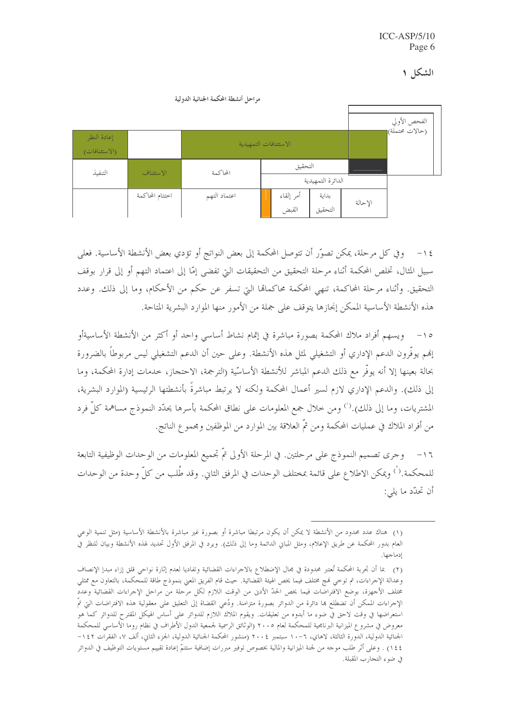|                              |                 | مراحل أنشطة المحكمة الجنائية الدولية |  |                |                   |         |              |
|------------------------------|-----------------|--------------------------------------|--|----------------|-------------------|---------|--------------|
|                              |                 |                                      |  |                |                   |         | الفحص الأولي |
| إعادة النظر<br>(الاستئنافات) |                 | الاستئنافات التمهيدية                |  | (حالات محتملة) |                   |         |              |
| التنفيذ                      | الاستئناف       | التحقيق<br>المحاكمة                  |  |                |                   |         |              |
|                              |                 |                                      |  |                | الدائرة التمهيدية |         |              |
|                              | اختتام المحاكمة | اعتماد التهم                         |  | أمر إلقاء      | بداية             | الإحالة |              |
|                              |                 |                                      |  | القبض          | التحقيق           |         |              |

١٤− وفي كل مرحلة، يمكن تصوَّر أن تتوصل المحكمة إلى بعض النواتج أو تؤدي بعض الأنشطة الأساسية. فعلى سبيل المثال، تخلص المحكمة أثناء مرحلة التحقيق من التحقيقات التي تفضي إمّا إلى اعتماد التهم أو إلى قرار بوقف التحقيق. وأثناء مرحلة المحاكمة، تنهي المحكمة محاكمالها التي تسفر عن حكم من الأحكام، وما إلى ذلك. وعدد هذه الأنشطة الأساسية الممكن إنجازها يتوقف على جملة من الأمور منها الموارد البشرية المتاحة.

١٥- ويسهم أفراد ملاك المحكمة بصورة مباشرة في إتمام نشاط أساسي واحد أو أكثر من الأنشطة الأساسيةأو إنهم يوفُّرون الدعم الإداري أو التشغيلي لمثل هذه الأنشطة. وعلى حين أن الدعم التشغيلي ليس مربوطاً بالضرورة بحالة بعينها إلا أنه يوفُّر مع ذلك الدعم المباشر للأنشطة الأساسّية (الترجمة، الاحتجاز، خدمات إدارة المحكمة، وما إلى ذلك). والدعم الإداري لازم لسير أعمال المحكمة ولكنه لا يرتبط مباشرةً بأنشطتها الرئيسية (الموارد البشرية، المشتريات، وما إلى ذلك).<sup>(')</sup> ومن خلال جمع المعلومات على نطاق المحكمة بأسرها يحدّد النموذج مساهمة كلّ فرد من أفراد الملاك في عمليات المحكمة ومن ثمَّ العلاقة بين الموارد من الموظفين ومحمو ع الناتج.

وجرى تصميم النموذج على مرحلتين. في المرحلة الأولى تمَّ تجميع المعلومات من الوحدات الوظيفية التابعة  $-17$ للمحكمة.'`) ويمكن الاطلاع على قائمة بمختلف الوحدات في المرفق الثاني. وقد طُلب من كلٍّ وحدة من الوحدات أن تحدّد ما يلي:

<sup>(</sup>١) هناك عدد محدود من الأنشطة لا يمكن أن يكون مرتبطا مباشرة أو بصورة غير مباشرة بالأنشطة الأساسية (مثل تنمية الوعي العام بدور المحكمة عن طريق الإعلام، ومثل المبابى الدائمة وما إلى ذلك). ويرد في المرفق الأول تحديد لهذه الأنشطة وبيان للنظر في ادماجها.

<sup>(</sup>٢) بما أن تجربة المحكمة تُعتبر محدودة في بحال الإضطلاع بالاحراءات القضائية وتفاديا لعدم إثارة نواحي قلق إزاء مبدإ الإنصاف وعدالة الإجراءات، تم توحي نمج مختلف فيما يخص الهيئة القضائية. حيث قام الفريق المعنى بنموذج طاقة للمحكمة، بالتعاون مع ممثلي مختلف الأحهزة، بوضع الافتراضات فيما يخص الحدّ الأدنى من الوقت اللازم لكل مرحلة من مراحل الإحراءات القضائية وعدد الإجراءات الممكن أن تضطلع بما دائرة من الدوائر بصورة متزامنة. ودُعى القضاة إلى التعليق على معقولية هذه الافتراضات التي تمّ استعراضها في وقت لاحق في ضوء ما أبدوه من تعليقات. ويقوم الملاك اللازم للدوائر على أساس الهيكل المقترح للدوائر كما هو معروض في مشروع الميزانية البرنامجية للمحكمة لعام ٢٠٠٥ (الوثائق الرسمية لجمعية الدول الأطراف في نظام روما الأساسي للمحكمة الجنائية الدولية، الدُّورة الثالثة، لاهاي، ٦-١٠ سبتمبر ٢٠٠٤ (منشور المحكمة الجنائية الدولية، الجزء الثاني، ألف ٧، الفقرات ١٤٢– ١٤٤) . وعلى أثر طلب موجه من لجنة الميزانية والمالية بخصوص توفير مبررات إضافية ستتمَّ إعادة تقييم مستويات التوظيف في الدوائر في ضوء التجارب المقبلة.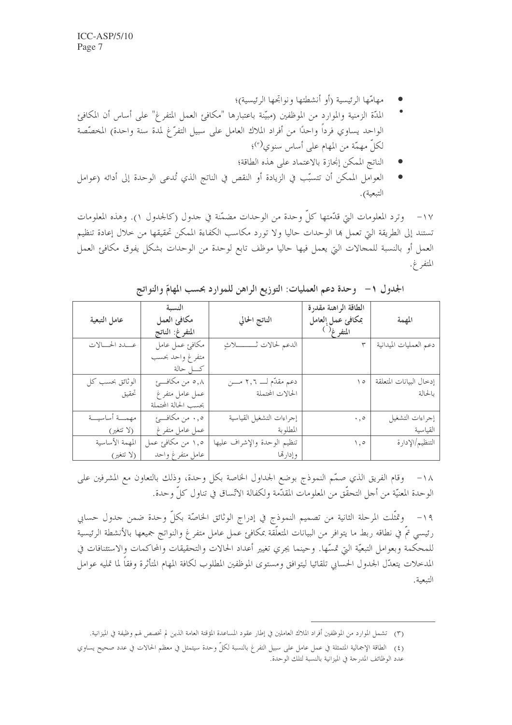- مهامّها الرئيسية (أو أنشطتها ونواتجها الرئيسية)؛
- المدَّة الزمنية والموارد من الموظفين (مبيَّنة باعتبارها "مكافئ العمل المتفرغ" على أساس أن المكافئ الواحد يساوي فرداً واحدًا من أفراد الملاك العامل على سبيل التفرُّغ لمدة سنة واحدة) المخصِّصة لكلِّ مهمّة من المهام على أساس سنوى<sup>(٣)</sup>؛
	- الناتج الممكن إنحازة بالاعتماد على هذه الطاقة؛
- العوامل الممكن أن تتسبَّب في الزيادة أو النقص في الناتج الذي تُدعى الوحدة إلى أدائه (عوامل التبعية).

١٧– وترد المعلومات التي قدَّمتها كلُّ وحدة من الوحدات مضمَّنة في حدول (كالجدول ١). وهذه المعلومات تستند إلى الطريقة التي تعمل بما الوحدات حاليا ولا تورد مكاسب الكفاءة الممكن تحقيقها من حلال إعادة تنظيم العمل أو بالنسبة للمجالات التي يعمل فيها حاليا موظف تابع لوحدة من الوحدات بشكل يفوق مكافئ العمل المتفر غ.

|                 | النسبة               |                               | الطاقة الراهنة مقدرة |                         |
|-----------------|----------------------|-------------------------------|----------------------|-------------------------|
| عامل التبعية    | مكافئ العمل          | الناتج الحالي                 | بمكافئ عمل العامل    | المهمة                  |
|                 | المتفرغ: الناتج      |                               | المتفرغ ( )          |                         |
| عــدد الحــالات | مكافئ عمل عامل       | الدعم لحالات ثـــــــــــلاثٍ |                      | دعم العمليات الميدانية  |
|                 | متفرغ واحد بحسب      |                               |                      |                         |
|                 | كـــــل حالة         |                               |                      |                         |
| الوثائق بحسب كل | ۰٫۸ من مکافـــئ      | دعم مقدّم لــــ ٢,٦ مــــن    | $\setminus$          | إدخال البيانات المتعلقة |
| تحقيق           | عمل عامل متفرغ       | الحالات المحتملة              |                      | بالحالة                 |
|                 | بحسب الحالة المحتملة |                               |                      |                         |
| مهمسة أساسيسة   | ه, . من مكافـــئ     | إجراءات التشغيل القياسية      | $\cdot$ , $\circ$    | إجراءات التشغيل         |
| (لا تتغير)      | عمل عامل متفرغ       | المطلوبة                      |                      | القياسية                |
| المهمة الأساسية | ۱٫۵ من مکافئ عمل     | تنظيم الوحدة والإشراف عليها   | $\setminus$ , o      | التنظيم/الإدارة         |
| (لا تتغير)      | عامل متفرغ واحد      | وإدارتما                      |                      |                         |

الجدول ١- وحدة دعم العمليات: التوزيع الراهن للموارد بحسب المهامّ والنواتج

١٨– وقام الفريق الذي صمَّم النموذج بوضع الجداول الخاصة بكل وحدة، وذلك بالتعاون مع المشرفين على الوحدة المعنيَّة من أجل التحقُّق من المعلومات المقدَّمة ولكفالة الاتِّساق في تناول كلِّ وحدة.

١٩- وتمثَّلت المرحلة الثانية من تصميم النموذج في إدراج الوثائق الخاصَّة بكلِّ وحدة ضمن حدول حسابي رئيسي تمّ في نطاقه ربط ما يتوافر من البيانات المتعلّقة بمكافئ عمل عامل متفرغ والنواتج جميعها بالأنشطة الرئيسية للمحكمة وبعوامل التبعيّة التي تمسّها. وحينما يجري تغيير أعداد الحالات والتحقيقات والمحاكمات والاستئنافات في المدخلات يتعدّل الجدول الحسابي تلقائيا ليتوافق ومستوى الموظفين المطلوب لكافة المهام المتأثرة وفقاً لما تمليه عوامل التبعية.

<sup>(</sup>٣) تشمل الموارد من الموظفين أفراد الملاك العاملين في إطار عقود المساعدة المؤقتة العامة الذين لم تخصص لهم وظيفة في الميزانية.

<sup>(</sup>٤) الطاقة الإجمالية المتمثلة في عمل عامل على سبيل التفرغ بالنسبة لكلِّ وحدة سيتمثل في معظم الحالات في عدد صحيح يساوي عدد الوظائف المدرجة في الميزانية بالنسبة لتلك الوحدة.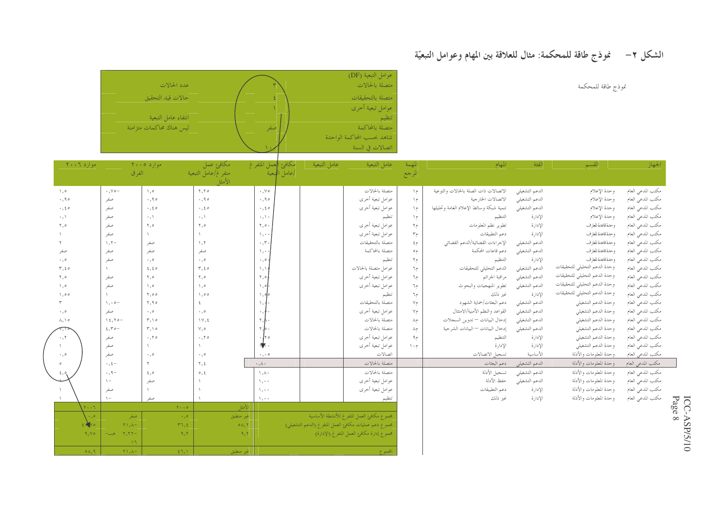# الشكل ٢– `` غوذج طاقة للمحكمة: مثال للعلاقة بين المهام وعوامل التبعيّة

نموذج طاقة للمحكمة

|                          |    | عوامل التبعية (DF)         |
|--------------------------|----|----------------------------|
| عدد الحالات              |    | متصلة بالحالات             |
| حالات قيد التحقيق        |    | متصلة بالتحقيقات           |
|                          |    | عوامل تبعية أخرى           |
| انتفاء عامل التبعية      |    | تنظيم                      |
| ليس هناك محاكمات متزامنة | صف | متصلة بالمحاكمة            |
|                          |    | شاهد بحسب المحاكمة الواحدة |
|                          |    | اتصالات في السنة           |
|                          |    |                            |

| $Y \cdot Y \cdot T$ مو اړ د |                             | $\gamma \cdot \cdot \circ \alpha$ موارد ۱ | مكافئ عمل                | مكافئ ا <mark>ل</mark> عمل المتفرغ | عامل التبعية | عامل التبعية                                          | المهمة                       | المهام                                   | الفئة          | القسم                         | الجهاز            |  |
|-----------------------------|-----------------------------|-------------------------------------------|--------------------------|------------------------------------|--------------|-------------------------------------------------------|------------------------------|------------------------------------------|----------------|-------------------------------|-------------------|--|
|                             | الفرق                       |                                           | متفرغ/عامل التبعية       | إعامل اللبعية                      |              |                                                       | المرجع                       |                                          |                |                               |                   |  |
|                             |                             |                                           | الأمثا                   |                                    |              |                                                       |                              |                                          |                |                               |                   |  |
| $\setminus$ , $\circ$       | $\cdot$ , $\vee$ $\circ$ -  | ۰, ۰                                      | 7,70                     | $\cdot$ , $\vee$ $\circ$           |              | متصلة بالحالات                                        | $\setminus$ $\triangleright$ | الاتصالات ذات الصلة بالحالات والتوعية    | الدعم التشغيلي | وحدة الإعلام                  | مكتب المدعي العام |  |
| $\cdot$ , 90                | صفر                         | $\cdot$ , 90                              | $\cdot$ , 90             | $\cdot$ , 90                       |              | عوامل تبعية أخرى                                      | $\gamma$                     | الاتصالات الخارجية                       | الدعم التشغيلي | وحدة الإعلام                  | مكتب المدعي العام |  |
| $\cdot$ , $\epsilon$ o      | صفر                         | $\cdot$ , $\epsilon$ o                    | $\cdot$ , $\epsilon$ o   | $\cdot$ , $\epsilon$ o             |              | عوامل تبعية أخرى                                      | $\setminus$                  | تنمية شبكة وسائط الإعلام العامة وتحليلها | الدعم التشغيلي | وحدة الإعلام                  | مكتب المدعى العام |  |
| $\cdot$ , \                 | صفر                         | $\cdot$ , \                               | $\cdot$ , \              | $\cdot$ , \ $\cdot$                |              | تنظيم                                                 | م (                          | التنظيم                                  | الإدارة        | وحدة الإعلام                  | مكتب المدعى العام |  |
| ٢,٥                         | صفر                         | ٢,٥                                       | ٥, ٢                     | $\mathbf{y}, \mathbf{z}$ .         |              | عوامل تبعية أخرى                                      | $5^{\circ}$                  | تطوير نظم المعلومات                      | الإدارة        | وحدة قاعدة للعارف             | مكتب المدعي العام |  |
|                             | صفر                         |                                           |                          | $\lambda$ , $\cdot$                |              | عوامل تبعية أخرى                                      | $\tau_{\gamma}$              | دعم التطبيقات                            | الإدارة        | وحدة قاعدة للعارف             | مكتب المدعى العام |  |
|                             | $\lambda$ , $\zeta$ -       | صفر                                       | $\setminus$ , $\uparrow$ | $\cdot$ , $\tau$ .                 |              | متصلة بالتحقيقات                                      | $\mathfrak{c}_P$             | الإجر اءات القضائية/الدعم القضائي        | الدعم التشغيلي | وحدة قاعدة للعارف             | مكتب المدعى العام |  |
| صفر                         | صفر                         | صفر                                       | صفر                      | $\lambda$ .                        |              | متصلة بالمحاكمة                                       | م∘                           | دعم قاعات المحكمة                        | الدعم التشغيلي | وحدة قاعدة للعارف             | مكتب المدعي العام |  |
| $\cdot$ , o                 | صفر                         | $\cdot$ , o                               | $\cdot$ , o              | $\cdot$ , o                        |              | تنظيم                                                 | $5^{\circ}$                  | لتنظيم                                   | الإدارة        | وحدة قاعدة للعارف             | مكتب المدعي العام |  |
| $r, \varepsilon$            |                             | 2,20                                      | $r, \epsilon$            | $\wedge$ , $\wedge$                |              | عوامل متصلة بالحالات                                  | م7                           | الدعم التحليلي للتحقيقات                 | الدعم التشغيلي | وحدة الدعم التحليلي للتحقيقات | مكتب المدعى العام |  |
| ٢,٥                         | صفر                         | ٢,٥                                       | ٥, ٢                     | ٢,٥                                |              | عوامل تبعية أخرى                                      | م7                           | مراقبة الجرائم                           | الدعم التشغيلي | وحدة الدعم التحليلي للتحقيقات | مكتب المدعى العام |  |
| $\setminus$ , o             | صفر                         | ٥,١                                       | ٥,١                      | $\setminus$ , $\circ$              |              | عوامل تبعية أخرى                                      | م7                           | تطوير المنهجيات والبحوث                  | الدعم التشغيلي | وحدة الدعم التحليلي للتحقيقات | مكتب المدعي العام |  |
| $\setminus$ ,00             |                             | ٥٥, ٢                                     | $\setminus$ , o o        | $\rightarrow$ , olo                |              | تنظيم                                                 | م7                           | غير ذلك                                  | الإدارة        | وحدة الدعم التحليلي للتحقيقات | مكتب المدعى العام |  |
|                             | $\lambda \cdot \rho -$      | ٢,٩٥                                      | ٤                        | $\lambda$ , $\frac{1}{2}$          |              | متصلة بالتحقيقات                                      | $Y_{\uparrow}$               | دعم البعثات/حماية الشهود                 | الدعم التشغيلي | وحدة الدعم التشغيلي           | مكتب المدعي العام |  |
| $\cdot$ , $\circ$           | صفر                         | $\cdot$ , $\circ$                         | $\cdot$ , o              | $\cdot$ , $\ast$                   |              | عوامل تبعية أخرى                                      | $V_{\uparrow}$               | القواعد والنظم الأمنية/الامتثال          | الدعم التشغيلي | وحدة الدعم التشغيلي           | مكتب المدعى العام |  |
| $\lambda, \lambda$          | $12,70-$                    | $\mathsf{r},\mathsf{v}$                   | $\forall$ , £            | $\mathbf{r}$ , $\mathbf{r}$ .      |              | متصلة بالحالات                                        | م۸                           | إدخال البيانات — تدوين السجلات           | الدعم التشغيلي | وحدة الدعم التشغيلي           | مكتب المدعى العام |  |
|                             | $2.50 -$                    | $T, \Delta$                               | $\vee$ , o               | $\mathbf{r}$ , $\mathbf{b}$ .      |              | متصلة بالحالات                                        | م۸                           | إدخال البيانات — البيانات الشرحية        | الدعم التشغيلي | وحدة الدعم التشغيلي           | مكتب المدعي العام |  |
| ۲.۰                         | صفر                         | .70                                       | $\cdot$ , $\tau \circ$   | $\cdot$ / $\circ$                  |              | عوامل تبعية أخرى                                      | م۹                           | لتنظيم                                   | الإدارة        | وحدة الدعم التشغيلي           | مكتب المدعى العام |  |
|                             | صفر                         |                                           |                          | $\frac{1}{2}$ .                    |              | عوامل تبعية أخرى                                      | $\wedge$ + $\wedge$          | الإدارة                                  | الإدارة        | وحدة الدعم التشغيلي           | مكتب المدعى العام |  |
| $\cdot$ , $\circ$           | صفر                         | $\cdot$ , o                               | $\cdot$ , o              | $\cdot$ , $\cdot$ 0                |              | اتصالات                                               |                              | تسجيل الاتصالات                          | الأساسية       | وحدة المعلومات والأدلة        | مكتب المدعي العام |  |
|                             | $\cdot$ , $\xi -$           |                                           | ۲, ٤                     | $\cdot$ , $\wedge$ $\cdot$         |              | متصلة بالحالات                                        |                              | دعم البعثات                              | الدعم التشغيلي | وحدة المعلومات والأدلة        | مكتب المدعى العام |  |
|                             | $\cdot$ , q -               | $\epsilon, \circ$                         | $\circ$ , $\xi$          | $\wedge$ , $\wedge$                |              | متصلة بالحالات                                        |                              | تسجيل الأدلة                             | الدعم التشغيلي | وحدة المعلومات والأدلة        | مكتب المدعي العام |  |
|                             | $\setminus$                 | صفر                                       |                          | $\lambda$ , $\cdot$ $\cdot$        |              | عوامل تبعية أخرى                                      |                              | حفظ الأدلة                               | الدعم التشغيلي | وحدة المعلومات والأدلة        | مكتب المدعى العام |  |
|                             | صفر                         |                                           |                          | $\lambda$ .                        |              | عوامل تبعية أخرى                                      |                              | دعم التطبيقات                            | الإدارة        | وحدة المعلومات والأدلة        | مكتب المدعى العام |  |
|                             | $\lambda -$                 | صفر                                       |                          | $\lambda$ , $\cdot$ $\cdot$        |              |                                                       |                              | غير ذلك                                  | الإدارة        | وحدة المعلومات والأدلة        | مكتب المدعي العام |  |
| $T \leftrightarrow T$       |                             | $Y \leftrightarrow 0$                     | الأمثل                   |                                    |              |                                                       |                              |                                          |                |                               |                   |  |
| $\cdot$ , o                 | صفر                         | $\rightarrow$ , $\diamond$                | غير منطبق                |                                    |              | بحموع مكافئ العمل المتفرغ للأنشطة الأساسية            |                              |                                          |                |                               |                   |  |
| 2.10                        | $Y \setminus A$ -           | $r\tau, \epsilon$                         | $\circ \wedge, \vee$     |                                    |              | بحموع دعم عمليات مكافئ العمل المتفرغ (الدعم التشغيلي) |                              |                                          |                |                               |                   |  |
| $9, Y \circ$                | $Y, YY$ -<br>مت             | 9.7                                       | 9,7                      |                                    |              | مجموع إدارة مكافئ العمل المتفرغ (الإدارة)             |                              |                                          |                |                               |                   |  |
|                             | $\mathcal{T}$ (             |                                           |                          |                                    |              |                                                       |                              |                                          |                |                               |                   |  |
| $\circ \wedge, \circ$       | $\uparrow$ \, $\uplambda$ - | $\S$ $\S$ , $\S$                          | غير منطبق                |                                    |              |                                                       |                              |                                          |                |                               |                   |  |

 $\begin{array}{lcl} & \text{ICC-ASP/S/10} \\ & \text{Page 8} \end{array}$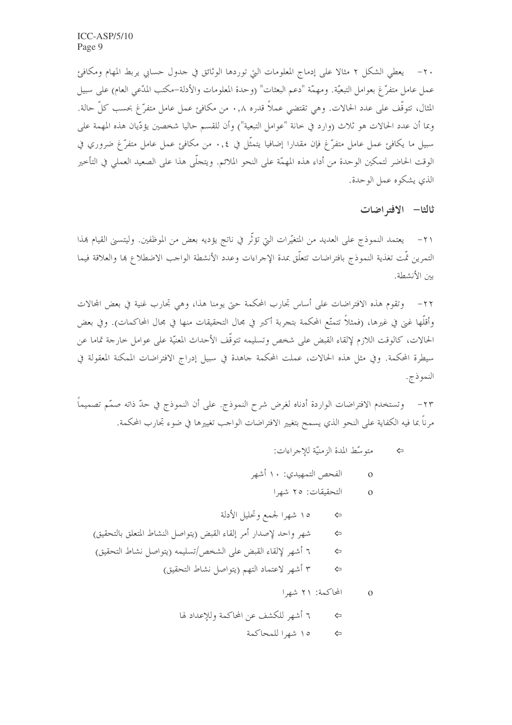٢٠ – يعطي الشكل ٢ مثالا على إدماج المعلومات التي توردها الوثائق في جدول حسابي يربط المهام ومكافئ عمل عامل متفرٍّ غ بعوامل التبعيَّة. ومهمَّة "دعم البعثات" (وحدة المعلومات والأدلة–مكتب المدَّعي العام) على سبيل المثال، تتوقَّف على عدد الحالات. وهي تقتضي عملاً قدره ٠,٨ من مكافئ عمل عامل متفرَّغ بحسب كلِّ حالة. وبما أن عدد الحالات هو ثلاث (وارد في حانة "عوامل التبعية") وأن للقسم حاليا شخصين يؤدّيان هذه المهمة على سبيل ما يكافئ عمل عامل متفرَّغ فإن مقدارا إضافيا يتمثَّل في ٠٫٤ من مكافئ عمل عامل متفرَّغ ضروري في الوقت الحاضر لتمكين الوحدة من أداء هذه المهمّة على النحو الملائم. ويتحلَّى هذا على الصعيد العملي في التأخير الذي يشكوه عمل الوحدة.

ثالثا- الافته اضات

٢١ – يعتمد النموذج على العديد من المتغيِّرات التيّ تؤثَّر في ناتج يؤديه بعض من الموظفين. وليتسبي القيام هذا التمرين تمّت تغذية النموذج بافتراضات تتعلّق بمدة الإجراءات وعدد الأنشطة الواجب الاضطلاع بما والعلاقة فيما بين الأنشطة.

٢٢– وتقوم هذه الافتراضات على أساس تجارب المحكمة حتى يومنا هذا، وهي تجارب غنية في بعض المحالات وأقلُّها غني في غيرها، (فمثلاً تتمتُّع المحكمة بتجربة أكبر في مجال التحقيقات منها في مجال المحاكمات). وفي بعض الحالات، كالوقت اللازم لإلقاء القبض على شخص وتسليمه تتوقَّف الأحداث المعنيَّة على عوامل خارجة تماما عن سيطرة المحكمة. وفي مثل هذه الحالات، عملت المحكمة جاهدة في سبيل إدراج الافتراضات الممكنة المعقولة في النمو ذج.

٢٣- وتستخدم الافتراضات الواردة أدناه لغرض شرح النموذج. على أن النموذج في حدّ ذاته صمّم تصميماً ۖ مرناً بما فيه الكفاية على النحو الذي يسمح بتغيير الافتراضات الواحب تغييرها في ضوء تجارب المحكمة.

- متوسِّط المدة الزمنيَّة للإجراءات: ⇦
- الفحص التمهيدي: ١٠ أشهر  $\Omega$ 
	- التحقيقات: ٢٥ شهرا  $\Omega$
- ١٥ شهرا لجمع وتحليل الأدلة  $\leftarrow$ شهر واحد لإصدار أمر إلقاء القبض (يتواصل النشاط المتعلق بالتحقيق)  $\Leftrightarrow$ ٦ أشهر لإلقاء القبض على الشخص/تسليمه (يتواصل نشاط التحقيق)  $\leftarrow$ ٣ أشهر لاعتماد التهم (يتواصل نشاط التحقيق)  $\Leftrightarrow$ 
	- المحاكمة: ٢١ شهرا  $\Omega$
	- ٦ أشهر للكشف عن المحاكمة وللإعداد لها ⇦ ١٥ شهرا للمحاكمة ⇔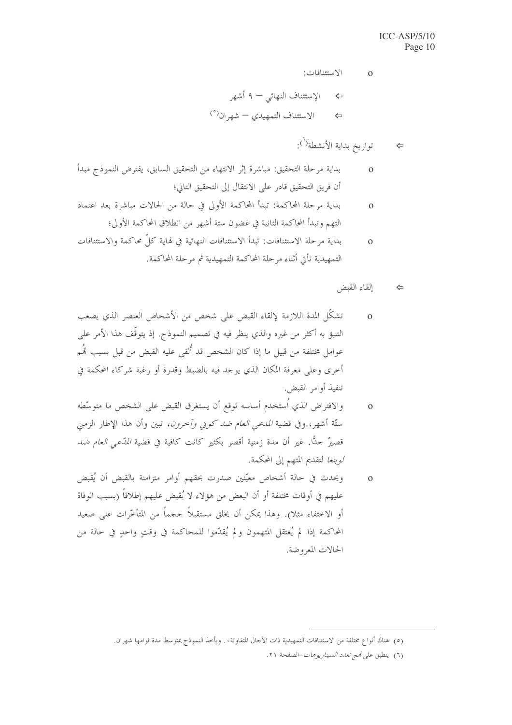الاستئنافات:

$$
\Rightarrow \qquad \qquad \mathbf{F} \quad \mathbf{F} \quad \mathbf{F} \quad \mathbf{F} \quad \mathbf{F} \quad \mathbf{F} \quad \mathbf{F} \quad \mathbf{F} \quad \mathbf{F} \quad \mathbf{F} \quad \mathbf{F} \quad \mathbf{F} \quad \mathbf{F} \quad \mathbf{F} \quad \mathbf{F} \quad \mathbf{F} \quad \mathbf{F} \quad \mathbf{F} \quad \mathbf{F} \quad \mathbf{F} \quad \mathbf{F} \quad \mathbf{F} \quad \mathbf{F} \quad \mathbf{F} \quad \mathbf{F} \quad \mathbf{F} \quad \mathbf{F} \quad \mathbf{F} \quad \mathbf{F} \quad \mathbf{F} \quad \mathbf{F} \quad \mathbf{F} \quad \mathbf{F} \quad \mathbf{F} \quad \mathbf{F} \quad \mathbf{F} \quad \mathbf{F} \quad \mathbf{F} \quad \mathbf{F} \quad \mathbf{F} \quad \mathbf{F} \quad \mathbf{F} \quad \mathbf{F} \quad \mathbf{F} \quad \mathbf{F} \quad \mathbf{F} \quad \mathbf{F} \quad \mathbf{F} \quad \mathbf{F} \quad \mathbf{F} \quad \mathbf{F} \quad \mathbf{F} \quad \mathbf{F} \quad \mathbf{F} \quad \mathbf{F} \quad \mathbf{F} \quad \mathbf{F} \quad \mathbf{F} \quad \mathbf{F} \quad \mathbf{F} \quad \mathbf{F} \quad \mathbf{F} \quad \mathbf{F} \quad \mathbf{F} \quad \mathbf{F} \quad \mathbf{F} \quad \mathbf{F} \quad \mathbf{F} \quad \mathbf{F} \quad \mathbf{F} \quad \mathbf{F} \quad \mathbf{F} \quad \mathbf{F} \quad \mathbf{F} \quad \mathbf{F} \quad \mathbf{F} \quad \mathbf{F} \quad \mathbf{F} \quad \mathbf{F} \quad \mathbf{F} \quad \mathbf{F} \quad \mathbf{F} \quad \mathbf{F} \quad \mathbf{F} \quad \mathbf{F} \quad \mathbf{F} \quad \mathbf{F} \quad \mathbf{F} \quad \mathbf{F} \quad \mathbf{F} \quad \mathbf{F} \quad \mathbf{F} \quad \mathbf{F} \quad \mathbf{F} \
$$

 $\Omega$ 

- بداية مرحلة التحقيق: مباشرة إثر الانتهاء من التحقيق السابق، يفترض النموذج مبدأ  $\overline{O}$ أن فريق التحقيق قادر على الانتقال إلى التحقيق التالي؛
- بداية مرحلة المحاكمة: تبدأ المحاكمة الأولى في حالة من الحالات مباشرة بعد اعتماد  $\Omega$ التهم وتبدأ المحاكمة الثانية في غضون ستة أشهر من انطلاق المحاكمة الأولى؛
- بداية مرحلة الاستئنافات: تبدأ الاستئنافات النهائية في نماية كلِّ محاكمة والاستئنافات  $\overline{O}$ التمهيدية تأتي أثناء مرحلة المحاكمة التمهيدية ثم مرحلة المحاكمة.
	- إلقاء القبض ⇦
- تشكَّل المدة اللازمة لإلقاء القبض على شخص من الأشخاص العنصر الذي يصعب  $\overline{O}$ التنبؤ به أكثر من غيره والذي ينظر فيه في تصميم النموذج. إذ يتوقَّف هذا الأمر على عوامل مختلفة من قبيل ما إذا كان الشخص قد أُلقى عليه القبض من قبل بسبب تَمُم أخرى وعلى معرفة المكان الذي يوحد فيه بالضبط وقدرة أو رغبة شركاء المحكمة في تنفيذ أوامر القبض.
- والافتراض الذي أستخدم أساسه توقع أن يستغرق القبض على الشخص ما متوسِّطه  $\Omega$ ستَّة أشهر، وفي قضية *المدعى العام ضد كوني وآخرون،* تبين وأن هذا الإطار الزمني قصيرٌ حدًّا. غير أن مدة زمنية أقصر بكثير كانت كافية في قضية *المدّعي العام ضد لوبنغا لتقديم المتهم إلى المحكمة.*
- ويحدث في حالة أشخاص معيّنين صدرت بحقهم أوامر متزامنة بالقبض أن يُقبض  $\mathbf{O}$ عليهم في أوقات مختلفة أو أن البعض من هؤلاء لا يُقبض عليهم إطلاقاً (بسبب الوفاة أو الاختفاء مثلا). وهذا يمكن أن يخلق مستقبلاً حجماً من المتأخّرات على صعيد المحاكمة إذا لم يُعتقل المتهمون ولم يُقدِّموا للمحاكمة في وقتٍ واحدٍ في حالة من الحالات المعروضة.

<sup>(</sup>٥) هناك أنواع مختلفة من الاستئنافات التمهيدية ذات الآجال المتفاوتة. . ويأخذ النموذج بمتوسط مدة قوامها شهران.

<sup>(</sup>٦) ينطبق على مُج تعدد السيناريوهات-الصفحة ٢١.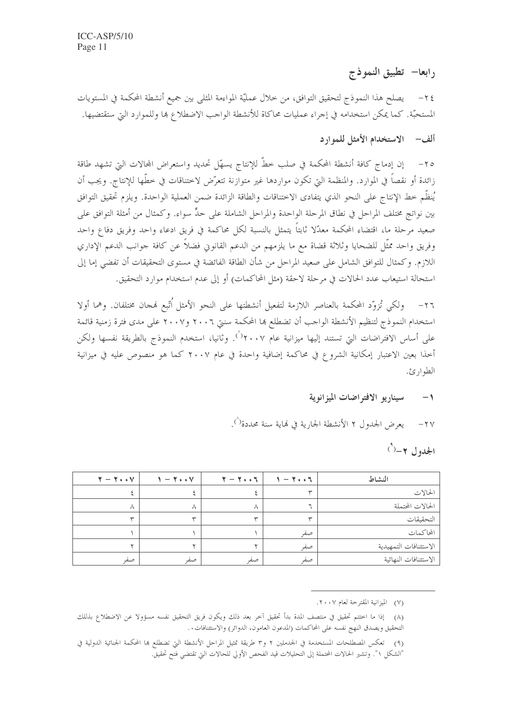رابعا— تطبيق النموذج

٢٤ – يصلح هذا النموذج لتحقيق التوافق، من خلال عمليَّة المواءمة المثلمي بين جميع أنشطة المحكمة في المستويات المستحبَّة. كما يمكن استخدامه في إجراء عمليات محاكاة للأنشطة الواحب الاضطلاع ها وللموارد التي ستقتضيها.

## ألف - الاستخدام الأمثل للموارد

إن إدماج كافة أنشطة المحكمة في صلب خطَّ للإنتاج يسهَّل تحديد واستعراض المحالات التي تشهد طاقة  $-\tau \circ$ زائدة أو نقصاً في الموارد. والمنظمة التي تكون مواردها غير متوازنة تتعرَّض لاختناقات في خطَّها للإنتاج. ويجب أن يُنظِّم خط الإنتاج على النحو الذي يتفادى الاختناقات والطاقة الزائدة ضمن العملية الواحدة. ويلزم تحقيق التوافق بين نواتج مختلف المراحل في نطاق المرحلة الواحدة والمراحل الشاملة على حدٍّ سواء. وكمثال من أمثلة التوافق على صعيد مرحلة ما، اقتضاء المحكمة معدّلا ثابتاً يتمثل بالنسبة لكل محاكمة في فريق ادعاء واحد وفريق دفاع واحد وفريق واحد ممثَّل للضحايا وثلاثة قضاة مع ما يلزمهم من الدعم القانوين فضلاً عن كافة حوانب الدعم الإداري اللازم. وكمثال للتوافق الشامل على صعيد المراحل من شأن الطاقة الفائضة في مستوى التحقيقات أن تفضى إما إلى استحالة استيعاب عدد الحالات في مرحلة لاحقة (مثل المحاكمات) أو إلى عدم استخدام موارد التحقيق.

ولكي تُزوِّد المحكمة بالعناصر اللازمة لتفعيل أنشطتها على النحو الأمثل اُتِّبع فمجان مختلفان. وهما أولا  $-\gamma$ استخدام النموذج لتنظيم الأنشطة الواحب أن تضطلع بما المحكمة سنتي ٢٠٠٦ و٢٠٠٧ على مدى فترة زمنية قائمة على أساس الافتراضات التي تستند إليها ميزانية عام ٢٠٠٧°. وثانيا، استخدم النموذج بالطريقة نفسها ولكن أخذا بعين الاعتبار إمكانية الشروع في محاكمة إضافية واحدة في عام ٢٠٠٧ كما هو منصوص عليه في ميزانية الطوارئ.

#### سيناريو الافتراضات الميزانوية  $-1$

يعرض الجدول ٢ الأنشطة الجارية في نهاية سنة محددة ْ).  $-\tau v$ 

الجدول ۲–(`)

| $Y - Y \cdot V$ | $1 - 7 \cdot \cdot 7$ | $\mathbf{y} - \mathbf{y} \cdot \mathbf{y}$ | 1 - 1 - 1 | النشاط                |
|-----------------|-----------------------|--------------------------------------------|-----------|-----------------------|
|                 |                       |                                            |           | الحالات               |
| ハ               | ∧                     | л                                          |           | الحالات المحتملة      |
| ⇜               |                       |                                            |           | التحقيقات             |
|                 |                       |                                            | صفه       | المحاكمات             |
|                 |                       |                                            | صفر       | الاستئنافات التمهيدية |
| صفه             | صع                    | صعر                                        | صفه       | الاستئنافات النهائية  |

(٧) الميزانية المقترحة لعام ٢٠٠٧.

(٨) إذا ما اختتم تحقيق في منتصف المدة بدأ تحقيق آخر بعد ذلك ويكون فريق التحقيق نفسه مسؤولا عن الاضطلاع بذللك التحقيق ويصدق النهج نفسه على المحاكمات (المدعون العامون، الدوائر) والاستئنافات. .

(٩) تعكس المصطلحات المستخدمة في الجدملين ٢ و٣ طريقة تمثيل المراحل الأنشطة التي تضطلع بما المحكمة الجنائية الدولية في "الشكل ١". وتشير الحالات المحتملة إلى التحليلات قيد الفحص الأولي للحالات التي تقتضي فتح تحقيق.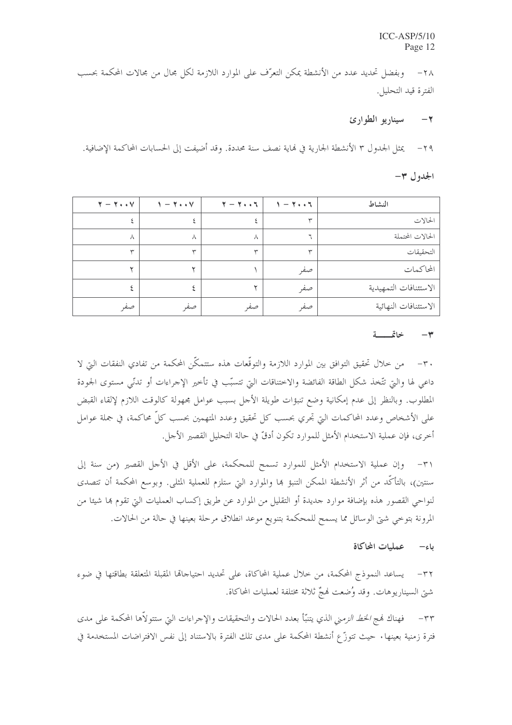وبفضل تحديد عدد من الأنشطة يمكن التعرُّف على الموارد اللازمة لكل مجالٍ من مجالات المحكمة بحسب  $-\tau \wedge$ الفترة قيد التحليل.

#### سيناريو الطوارئ  $-7$

يمثل الجدول ٣ الأنشطة الجارية في لهاية نصف سنة محددة. وقد أضيفت إلى الحسابات المحاكمة الإضافية.  $-\tau$  q

### $-\tau$  الجدول

| $Y - Y \cdot V$ | $1 - 7 \cdot 17$ | $Y - Y \cdot Y$ | $1 - 7 \cdot 17$ | النشاط                |
|-----------------|------------------|-----------------|------------------|-----------------------|
| ٤               |                  |                 |                  | الحالات               |
| Λ               | Λ                | ٨               |                  | الحالات المحتملة      |
| $\checkmark$    | $\checkmark$     | س               | سپ               | التحقيقات             |
| ◡               |                  |                 | صفر              | المحاكمات             |
|                 |                  |                 | صفر              | الاستئنافات التمهيدية |
| صفر             | صفر              | صفر             | صفر              | الاستئنافات النهائية  |

#### خاتمسة  $\check{}$

٣٠ – من حلال تحقيق التوافق بين الموارد اللازمة والتوقّعات هذه ستتمكَّن المحكمة من تفادى النفقات البت لا داعي لها والتي تتَّخذ شكل الطاقة الفائضة والاختناقات التي تتسبَّب في تأخير الإجراءات أو تدنّي مستوى الجودة المطلوب. وبالنظر إلى عدم إمكانية وضع تنبؤات طويلة الأحل بسبب عوامل مجهولة كالوقت اللازم لإلقاء القبض على الأشخاص وعدد المحاكمات التي تجري بحسب كل تحقيق وعدد المتهمين بحسب كلِّ محاكمة، في جملة عوامل أخرى، فإن عملية الاستخدام الأمثل للموارد تكون أدقَّ في حالة التحليل القصير الأجل.

٣١- وإن عملية الاستخدام الأمثل للموارد تسمح للمحكمة، على الأقل في الأجل القصير (من سنة إلى سنتين)، بالتأكُّد من أثر الأنشطة الممكن التنبؤ ها والموارد التي ستلزم للعملية المثلي. وبوسع المحكمة أن تتصدى لنواحي القصور هذه بإضافة موارد حديدة أو التقليل من الموارد عن طريق إكساب العمليات التي تقوم بما شيئا من المرونة بتوخي شيّ الوسائل مما يسمح للمحكمة بتنويع موعد انطلاق مرحلة بعينها في حالة من الحالات.

> عمليات المحاكاة باء—

٣٢– يساعد النموذج المحكمة، من خلال عملية المحاكاة، على تحديد احتياحالها المقبلة المتعلقة بطاقتها في ضوء شتى السيناريوهات. وقد وُضعت لهجٌ ثلاثة مختلفة لعمليات المحاكاة.

٣٣ – فهناك فمج *الخط الزم*ني الذي يتنبّأ بعدد الحالات والتحقيقات والإجراءات التي ستتولاّها المحكمة على مدى فترة زمنية بعينها • حيث تتوزَّع أنشطة المحكمة على مدى تلك الفترة بالاستناد إلى نفس الافتراضات المستخدمة في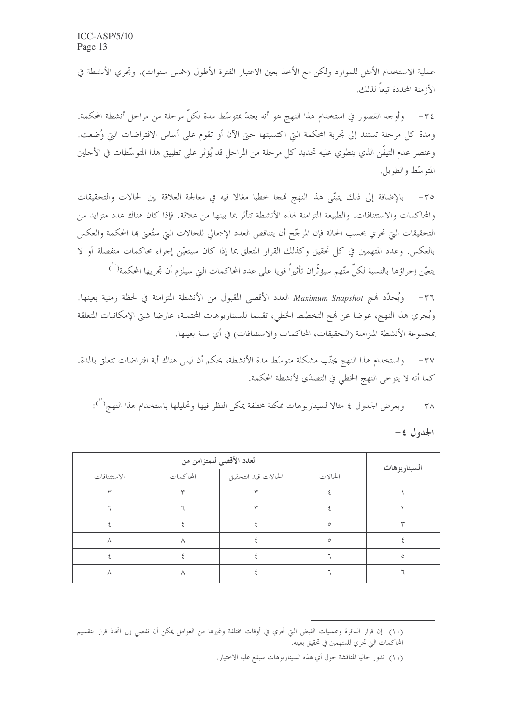عملية الاستخدام الأمثل للموارد ولكن مع الأحذ بعين الاعتبار الفترة الأطول (خمس سنوات). وتجرى الأنشطة في الأزمنة المحددة تبعاً لذلك.

٣٤- وأوجه القصور في استخدام هذا النهج هو أنه يعتدّ بمتوسِّط مدة لكلِّ مرحلة من مراحل أنشطة المحكمة. ومدة كل مرحلة تستند إلى تجربة المحكمة التي اكتسبتها حيّ الآن أو تقوم على أساس الافتراضات التي وُضعت. وعنصر عدم التيقُّن الذي ينطوي عليه تحديد كلِّ مرحلة من المراحل قد يُؤثِّر على تطبيق هذا المتوسَّطات في الأجلين المتوسّط والطويل.

بالإضافة إلى ذلك يتبنَّى هذا النهج فمجا حطيا مغالا فيه في معالجة العلاقة بين الحالات والتحقيقات  $-\tau$ والمحاكمات والاستئنافات. والطبيعة المتزامنة لهذه الأنشطة تتأثر بما بينها من علاقة. فإذا كان هناك عدد متزايد من التحقيقات التي تحري بحسب الحالة فإن المرحَّح أن يتناقص العدد الإجمالي للحالات التي ستُعني ها المحكمة والعكس بالعكس. وعدد المتهمين في كل تحقيق وكذلك القرار المتعلق بما إذا كان سيتعيَّن إجراء محاكمات منفصلة أو لا يتعيّن إحراؤها بالنسبة لكلّ متّهم سيؤثّران تأثيراً قويا على عدد المحاكمات التي سيلزم أن تجريها المحكمة<sup>(` \</sup>)

ويُحدِّد فيج Maximum Snapshot العدد الأقصى المقبول من الأنشطة المتزامنة في لحظة زمنية بعينها.  $-\tau$ ويُجري هذا النهج، عوضا عن فمج التخطيط الخطي، تقييما للسيناريوهات المحتملة، عارضا شتى الإمكانيات المتعلقة بمجموعة الأنشطة المتزامنة (التحقيقات، المحاكمات والاستئنافات) في أي سنة بعينها.

واستخدام هذا النهج يجنّب مشكلة متوسّط مدة الأنشطة، بحكم أن ليس هناك أية افتراضات تتعلق بالمدة.  $-\tau v$ كما أنه لا يتوحى النهج الخطي في التصدّي لأنشطة المحكمة.

٣٨ \_ ويعرض الجدول ٤ مثالا لسيناريوهات ممكنة مختلفة يمكن النظر فيها وتحليلها باستخدام هذا النهج(``):

|--|--|--|

|             | العدد الأقصى للمتزامن من | السيناريوهات        |         |         |
|-------------|--------------------------|---------------------|---------|---------|
| الاستئنافات | المحاكمات                | الحالات قيد التحقيق | الحالات |         |
|             |                          |                     |         |         |
|             |                          |                     |         |         |
|             |                          |                     | $\circ$ |         |
| л           | Λ                        |                     | $\circ$ |         |
|             |                          |                     |         | $\circ$ |
| л           | Λ                        |                     |         |         |

<sup>(</sup>١٠) إن قرار الدائرة وعمليات القبض التي تجري في أوقات مختلفة وغيرها من العوامل يمكن أن تفضى إلى اتخاذ قرار بتقسيم المحاكمات التي تحري للمتهمين في تحقيق بعينه.

<sup>(</sup>١١) تدور حاليا المناقشة حول أي هذه السيناريوهات سيقع عليه الاختيار.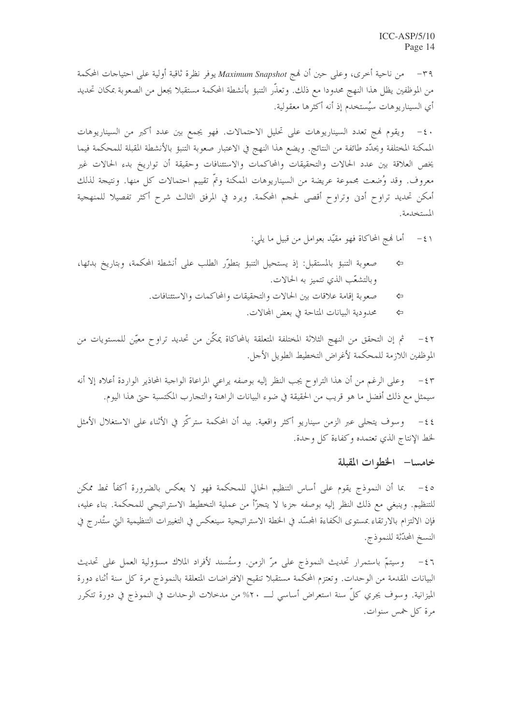٣٩ – من ناحية أخرى، وعلى حين أن نمج Maximum Snapshot يوفر نظرة ثاقبة أولية على احتياجات المحكمة من الموظفين يظل هذا النهج محدودا مع ذلك. وتعذَّر التنبؤ بأنشطة المحكمة مستقبلا يجعل من الصعوبة بمكان تحديد أي السيناريوهات سيُستخدم إذ أنه أكثرها معقولية.

٤٠ - ويقوم فمج تعدد السيناريوهات على تحليل الاحتمالات. فهو يجمع بين عدد أكبر من السيناريوهات الممكنة المختلفة ويحدّد طائفة من النتائج. ويضع هذا النهج في الاعتبار صعوبة التنبؤ بالأنشطة المقبلة للمحكمة فيما يخص العلاقة بين عدد الحالات والتحقيقات والمحاكمات والاستئنافات وحقيقة أن تواريخ بدء الحالات غير معروف. وقد وُضعت مجموعة عريضة من السيناريوهات الممكنة وتمّ تقييم احتمالات كل منها. ونتيجة لذلك أمكن تحديد تراوح أدن وتراوح أقصى لحجم المحكمة. ويرد في المرفق الثالث شرح أكثر تفصيلا للمنهجية المستخدمة.

- أما نهج المحاكاة فهو مقيّد بعوامل من قبيل ما يلي:  $-\xi$
- صعوبة التنبؤ بالمستقبل: إذ يستحيل التنبؤ بتطوَّر الطلب على أنشطة المحكمة، وبتاريخ بدئها، ⇦ وبالتشعّب الذي تتميز به الحالات.
	- صعوبة إقامة علاقات بين الحالات والتحقيقات والمحاكمات والاستئنافات.  $\Leftrightarrow$ 
		- محدودية البيانات المتاحة في بعض المحالات. ⇦

ثم إن التحقق من النهج الثلاثة المختلفة المتعلقة بالمحاكاة يمكّن من تحديد تراوح معيّن للمستويات من  $-\xi$   $\zeta$ الموظفين اللازمة للمحكمة لأغراض التخطيط الطويل الأجل.

وعلى الرغم من أن هذا التراوح يجب النظر إليه بوصفه يراعى المراعاة الواجبة المحاذير الواردة أعلاه إلا أنه  $-\xi$ ٣ سيمثل مع ذلك أفضل ما هو قريب من الحقيقة في ضوء البيانات الراهنة والتحارب المكتسبة حتى هذا اليوم.

٤٤– وسوف يتحلى عبر الزمن سيناريو أكثر واقعية. بيد أن المحكمة ستركَّز في الأثناء على الاستغلال الأمثل لخط الإنتاج الذي تعتمده وكفاءة كل وحدة.

### خامسا- الخطوات المقبلة

ه٤− بما أن النموذج يقوم على أساس التنظيم الحالي للمحكمة فهو لا يعكس بالضرورة أكفأ نمط ممكن للتنظيم. وينبغي مع ذلك النظر إليه بوصفه جزءا لا يتحرّأ من عملية التخطيط الاستراتيجي للمحكمة. بناء عليه، فإن الالتزام بالارتقاء بمستوى الكفاءة المحسّد في الخطة الاستراتيجية سينعكس في التغييرات التنظيمية التي ستُدرج في النسخ المحدّثة للنموذج.

٤٦ - وسيتمّ باستمرار تحديث النموذج على مرّ الزمن. وستُسند لأفراد الملاك مسؤولية العمل على تحديث البيانات المقدمة من الوحدات. وتعتزم المحكمة مستقبلا تنقيح الافتراضات المتعلقة بالنموذج مرة كل سنة أثناء دورة الميزانية. وسوف يجري كلِّ سنة استعراض أساسي لــــ ٢٠% من مدخلات الوحدات في النموذج في دورة تتكرر مرة كل خمس سنوات.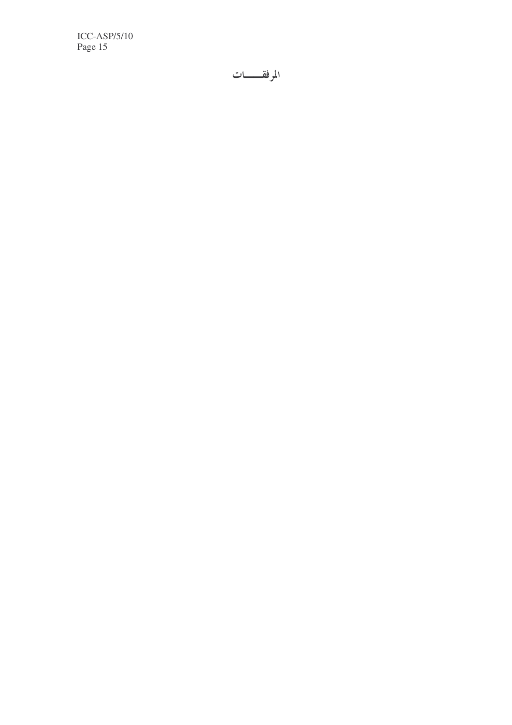$ICC-ASP/5/10$ Page 15

المرفقـــات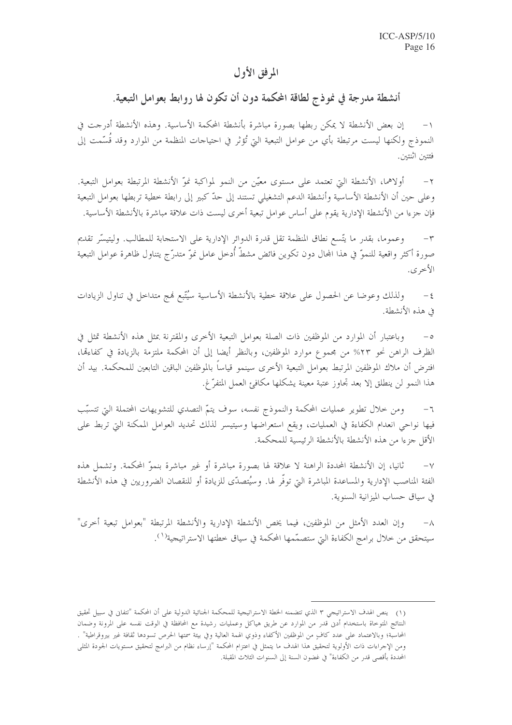## المرفق الأول

# أنشطة مدرجة في نموذج لطاقة المحكمة دون أن تكون لها روابط بعوامل التبعية.

إن بعض الأنشطة لا يمكن ربطها بصورة مباشرة بأنشطة المحكمة الأساسية. وهذه الأنشطة أدرجت في النموذج ولكنها ليست مرتبطة بأي من عوامل التبعية التي تُؤثر في احتياجات المنظمة من الموارد وقد قُسَّمت إلى فئتين اثنتين.

أولاهما، الأنشطة التي تعتمد على مستوى معيّن من النمو لمواكبة نموّ الأنشطة المرتبطة بعوامل التبعية.  $-\tau$ وعلى حين أن الأنشطة الأساسية وأنشطة الدعم التشغيلي تستند إلى حدّ كبير إلى رابطة خطية تربطها بعوامل التبعية فإن جزءا من الأنشطة الإدارية يقوم على أساس عوامل تبعية أخرى ليست ذات علاقة مباشرة بالأنشطة الأساسية.

وعمومًا، بقدر ما يتَّسع نطاق المنظمة تقل قدرة الدوائر الإدارية على الاستجابة للمطالب. وليتيسَّر تقديم  $-\tau$ صورة أكثر واقعية للنموّ في هذا المحال دون تكوين فائض مشطّ أدحل عامل نموّ متدرّج يتناول ظاهرة عوامل التبعية الأخرى.

ولذلك وعوضا عن الحصول على علاقة خطية بالأنشطة الأساسية سيُتَّبع فمج متداخل في تناول الزيادات  $-\xi$ في هذه الأنشطة.

وباعتبار أن الموارد من الموظفين ذات الصلة بعوامل التبعية الأخرى والمقترنة بمثل هذه الأنشطة تمثل في  $-\circ$ الظرف الراهن نحو ٢٣% من مجموع موارد الموظفين، وبالنظر أيضا إلى أن المحكمة ملتزمة بالزيادة في كفاءقما، افترض أن ملاك الموظفين المرتبط بعوامل التبعية الأخرى سينمو قياساً بالموظفين الباقين التابعين للمحكمة. بيد أن هذا النمو لن ينطلق إلا بعد تجاوز عتبة معينة يشكلها مكافئ العمل المتفرِّ غ.

ومن خلال تطوير عمليات المحكمة والنموذج نفسه، سوف يتمّ التصدي للتشويهات المحتملة التي تتسبّب  $\daleth$ فيها نواحي انعدام الكفاءة في العمليات، ويقع استعراضها وسيتيسر لذلك تحديد العوامل الممكنة التي تربط على الأقل جزءًا من هذه الأنشطة بالأنشطة الرئيسية للمحكمة.

ثانيا، إن الأنشطة المحددة الراهنة لا علاقة لها بصورة مباشرة أو غير مباشرة بنموِّ المحكمة. وتشمل هذه  $-\vee$ الفئة المناصب الإدارية والمساعدة المباشرة التي توفُّر لها. وسيُتصدِّى للزيادة أو للنقصان الضروريين في هذه الأنشطة في سياق حساب الميزانية السنوية.

وإن العدد الأمثل من الموظفين، فيما يخص الأنشطة الإدارية والأنشطة المرتبطة "بعوامل تبعية أخرى"  $-\lambda$ سيتحقق من خلال برامج الكفاءة التي ستصمّمها المحكمة في سياق خطتها الاستراتيجية<sup>(١</sup>).

<sup>(</sup>١) ينص الهدف الاستراتيجي ٣ الذي تتضمنه الخطة الاستراتيجية للمحكمة الجنائية الدولية على أن المحكمة "تتفانى في سبيل تحقيق النتائج المتوحاة باستخدام أدبى قدر من الموارد عن طريق هياكل وعمليات رشيدة مع المحافظة في الوقت نفسه على المرونة وضمان المحاسبة؛ وبالاعتماد على عدد كافٍ من الموظفين الأكفاء وذوي الهمة العالية وفي بيئة سمتها الحرص تسودها ثقافة غير بيروقراطية" . ومن الإحراءات ذات الأولوية لتحقيق هذا الهدف ما يتمثل في اعتزام المحكمة "إرساء نظام من البرامج لتحقيق مستويات الجودة المثلى المحددة بأقصى قدر من الكفاءة" في غضون السنة إلى السنوات الثلاث المقبلة.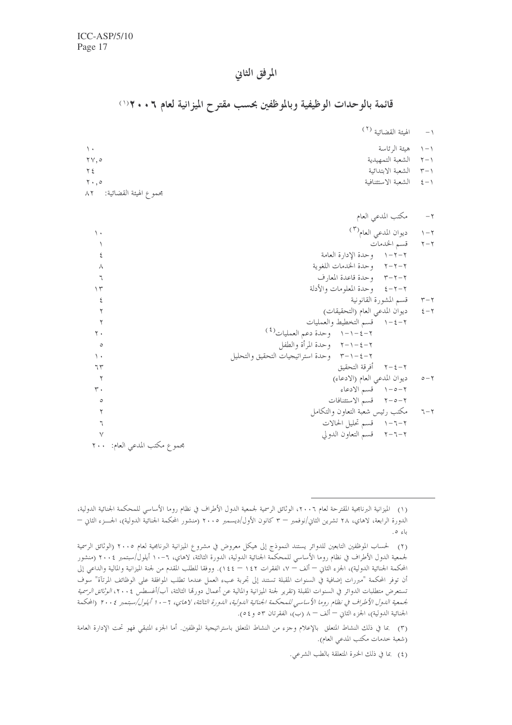# المرفق الثانى

# قائمة بالوحدات الوظيفية وبالموظفين بحسب مقترح الميزانية لعام ٦ . . ٢ ( ا

|                                             | الهيئة القضائية <sup>(٢)</sup> | $-1$ |
|---------------------------------------------|--------------------------------|------|
| $\lambda$                                   | ١–١ هيئة الرئاسة               |      |
| $\forall \forall, \circ$                    | ٢-٢ الشعبة التمهيدية           |      |
| $Y \xi$                                     | ٣–٣ الشعبة الابتدائية          |      |
| $Y \cdot .0$                                | ١–٤ الشعبة الاستئنافية         |      |
| مجممو ع الهيئة القضائية:<br>$\wedge$ $\vee$ |                                |      |

|                 | مكتب المدعي العام                        | $-\tau$                 |
|-----------------|------------------------------------------|-------------------------|
| ۱.              | ديوان المدعى العام <sup>(٣)</sup>        | $\upgamma-\upgamma$     |
|                 | قسم الخدمات                              | $\mathbf{y}-\mathbf{y}$ |
| ٤               | ٢–٢–١ وحدة الإدارة العامة                |                         |
| Λ               | ٢-٢-٢ وحدة الخدمات اللغوية               |                         |
| ٦               | ٣-٢-٣ وحدة قاعدة المعارف                 |                         |
| ۱۳              | ٢–٢–٤   وحدة المعلومات والأدلة           |                         |
| ٤               | ٣–٣ قسم المشورة القانونية                |                         |
| ۲               | ديوان المدعى العام (التحقيقات)           | $\xi-\mathbf{Y}$        |
| ۲               | ٢-٤-١ قسم التخطيط والعمليات              |                         |
| ٢.              | ٢-٤-١-١ وحدة دعم العمليات <sup>(٤)</sup> |                         |
| $\circ$         | ٢–٤–٢ - وحدة المرأة والطفل               |                         |
| $\langle \cdot$ | ٢-٤-٢- وحدة استراتيجيات التحقيق والتحليل |                         |
| ٦٣              | ٢–٤–٢ أفرقة التحقيق                      |                         |
| ٢               | ديوان المدعى العام (الادعاء)             | $o - \gamma$            |
| ٣.              | ٢-٥-١ قسم الادعاء                        |                         |
| ٥               | ٢–٥–٢ قسم الاستئنافات                    |                         |
|                 | مكتب رئيس شعبة التعاون والتكامل          | $7 - 7$                 |
|                 | ٢–٦–١ قسم تحليل الحالات                  |                         |
|                 | ٢–٦–٢ قسم التعاون الدولي                 |                         |
|                 | مجموع مكتب المدعى العام: ٢٠٠             |                         |

<sup>(</sup>١) الميزانية البرنامجية المقترحة لعام ٢٠٠٦، الوثائق الرسمية لجمعية الدول الأطراف في نظام روما الأساسي للمحكمة الجنائية الدولية، الدورة الرابعة، لاهاي، ٢٨ تشرين الثاني/نوفمبر – ٣ كانون الأول/ديسمبر ٢٠٠٥ (منشور المحكمة الجنائية الدولية)، الجسزء الثاني – باءِ ه.

<sup>(</sup>٢) لحساب الموظفين التابعين للدوائر يستند النموذج إلى هيكل معروض في مشروع الميزانية البرنامجية لعام ٢٠٠٥ (الوثائق الرسمية لجمعية الدول الأطراف في نظام روما الأساسي للمحكمة الجنائية الدولية، الدورة الثالثة، لاهاي، ٦-١٠ أيلول/سبتمبر ٢٠٠٤ (منشور المحكمة الجنائية الدولية)، الجزء الثاني — ألف – ٧، الفقرات ١٤٢ – ١٤٤). ووفقا للطلب المقدم من لجنة الميزانية والمالية والداعي إلى أن توفر المحكمة "مبررات إضافية في السنوات المقبلة تستند إلى تجربة عبء العمل عندما تطلب الموافقة على الوظائف المرتآة" سوف تستعرض متطلبات الدوائر في السنوات المقبلة (تقرير لجنة الميزانية والمالية عن أعمال دورقما الثالثة، آب/أغسطس ٢٠٠٤، *الوثائق الرسمية* لجمعية الدول الأطراف في نظام روما الأساسي للمحكمة الجنائية الدولية، الدورة الثالثة، لاهاي، ٦-١٠ أيلول/سبتمبر ٢٠٠٤ (المحكمة الجنائية الدولية)، الجزء الثاني — ألف – ٨ (ب)، الفقرتان ٥٣ و٤٥).

<sup>(</sup>٣) .بما في ذلك النشاط المتعلق بالإعلام وجزء من النشاط المتعلق باستراتيجية الموظفين. أما الجزء المتبقى فهو تحت الإدارة العامة (شعبة خدمات مكتب المدعى العام).

<sup>(</sup>٤) بما في ذلك الخبرة المتعلقة بالطب الشرعي.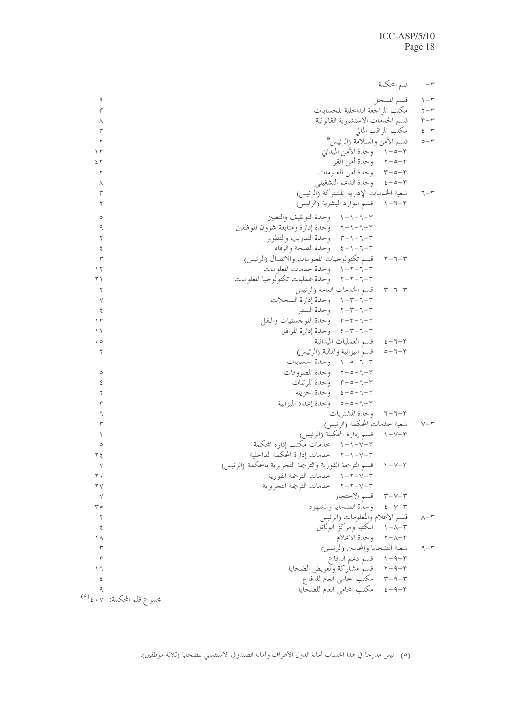|              | قلم المحكمة                                                                 | $-\tau$                 |
|--------------|-----------------------------------------------------------------------------|-------------------------|
| ٩            | قسم المسجل                                                                  | $\eta - \tau$           |
| ٣            | مكتب المراجعة الداخلية للحسابات                                             | $\mathbf{Y}-\mathbf{Y}$ |
| ٨            | قسم الخدمات الاستشارية القانونية                                            | $r-r$                   |
| ٣            | مكتب المراقب المالي                                                         | $\xi - \tau$            |
| ٢            | قسم الأمن والسلامة (الرئيس*                                                 | $\circ-\curlyvee$       |
| ۱۲           | ٣–٥–١ وحدة الأمن الميداني                                                   |                         |
| ٤٢           | ٣–٥–٢ وحدة أمن المقر                                                        |                         |
| ٢            | ٣-٥-٣ وحدة أمن المعلومات                                                    |                         |
|              | ٣-٥-٤ وحدة الدعم التشغيلي                                                   |                         |
| ٨<br>٣       | شعبة الخدمات الإدارية المشتركة (الرئيس)                                     | $7 - 5$                 |
| ٢            | ٣-٦-١ قسم الموارد البشرية (الرئيس)                                          |                         |
|              |                                                                             |                         |
| $\circ$      | ٣-٦-١-١ وحدة التوظيف والتعيين                                               |                         |
| ٩            | ٣–٦–٢– وحدة إدارة ومتابعة شؤون الموظفين                                     |                         |
| ٢            | ٣–٦–٢–٣٪ وحدة التدريب والتطوير                                              |                         |
| ٤            | ٣-٦-١-٤ وحدة الصحة والرفاه                                                  |                         |
| $\mathsf{r}$ | قسم تكنولوجيات المعلومات والاتصال (الرئيس)<br>$\upgamma-\upgamma-\upgamma$  |                         |
| ۲ ۱          | ٣-٦-٢-١ وحدة حدمات المعلومات                                                |                         |
| ۲۱           | ٣-٦-٦-٢ وحدة عمليات تكنولوجيا المعلومات                                     |                         |
| ٢            | ٣–٦–٣ قسم الخدمات العامة (الرئيس                                            |                         |
| $\vee$       | ٣-٦-٣-١ وحدة إدارة السجلات                                                  |                         |
| $\epsilon$   | ٢-٦-٣-٢ وحدة السفر                                                          |                         |
| $\gamma$     | ٣–٣–٣–٣ وحدة اللوجستيات والنقل                                              |                         |
| ۱۱           | ٣–٦–٣–٤ وحدة إدارة المرافق                                                  |                         |
| $\cdot$ 0    | ٣-٦-٤ قسم العمليات الميدانية                                                |                         |
| ٢            | قسم الميزانية والمالية (الرئيس)<br>$\circ - \urcorner - \urcorner$          |                         |
|              | ٣-٦-٥-١ وحدة الحسابات                                                       |                         |
| $\circ$      | ٣-٦-٥-٢ وحدة المصروفات                                                      |                         |
| ٤            | ٣-٥-٦-٣ وحدة المرتبات                                                       |                         |
| ٢            | ٣-٦-٥-٤ وحدة الخزينة                                                        |                         |
| ٣            | ٣–٦–٥–٥٪ وحدة إعداد الميزانية                                               |                         |
| ٦            | وحدة المشتريات<br>$7 - 7 - 7$                                               |                         |
| ٣            | شعبة حدمات المحكمة (الرئيس)                                                 | $V - \tau$              |
|              | ٢–١٧–١     قسم إدارة المحكمة (الرئيس)                                       |                         |
| $\circ$      | ٣–١٧–١ خدمات مكتب إدارة المحكمة                                             |                         |
| ۲ ٤          | ٣–٧–٢– ٢ خدمات إدارة المحكمة الداخلية                                       |                         |
| ٧            | قسم الترجمة الفورية والترجمة التحريرية بالمحكمة (الرئيس)<br>$\tau-\nu-\tau$ |                         |
| ٢٠           | ٢–٢–٢– ١ خدمات الترجمة الفورية                                              |                         |
| ۲۷           | ٣–٢–٢–٢ خدمات الترجمة التحريرية                                             |                         |
| $\vee$       | قسم الاحتجاز<br>$\tau-\nu-\tau$                                             |                         |
| ه ۳          | وحدة الضحايا والشهود<br>$\xi - \gamma - \tau$                               |                         |
| ٢            | قسم الاعلام والمعلومات (الرئيس                                              | $v - r$                 |
| ٤            | المكتبة ومركز الوثائق<br>$1 - \lambda - \tau$                               |                         |
| ۱۸           | ٢–٢–٢ وحدة الاعلام                                                          |                         |
| ٣            | شعبة الضحايا والمحامين (الرئيس)                                             | ۹ $-$ ۳                 |
| ٣            | ٣-٩-١ قسم دعم الدفاع                                                        |                         |
| ۲ ۱          | ٣–٩–٢ قسم مشاركة وتعويض الضحايا                                             |                         |
| ٤            | ٣–٩–٣ مكتب المحامي العام للدفاع                                             |                         |
|              | مكتب المحامي العام للضحايا<br>$\xi - \eta - \tau$                           |                         |
|              | مجموع قلم المحكمة: ٤٠٧£ <sup>(٥)</sup>                                      |                         |
|              |                                                                             |                         |

<sup>(</sup>٥) ليس مدرجا في هذا الحساب أمانة الدول الأطراف وأمانة الصندوق الاستئماني للضحايا (ثلاثة موظفين).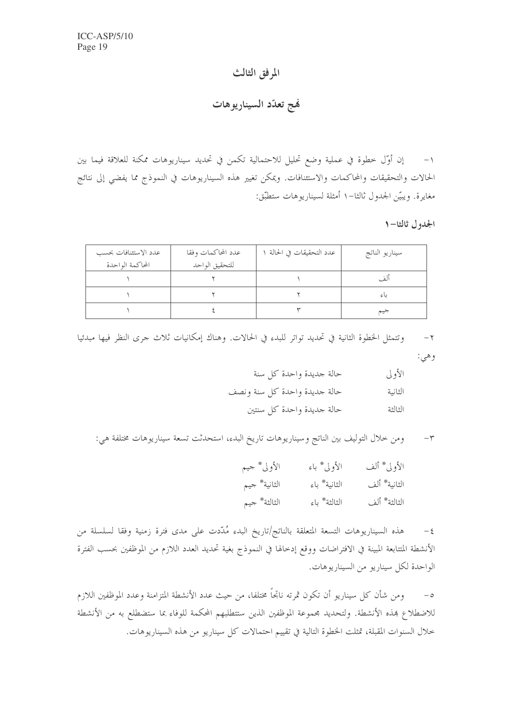# المرفق الثالث

نهج تعدّد السيناريوهات

١– إن أوَّل خطوة في عملية وضع تحليل للاحتمالية تكمن في تحديد سيناريوهات ممكنة للعلاقة فيما بين الحالات والتحقيقات والمحاكمات والاستئنافات. ويمكن تغيير هذه السيناريوهات في النموذج مما يفضي إلى نتائج مغايرة. ويبيّن الجدول ثالثا–١ أمثلة لسيناريوهات ستطبّق:

الجدول ثالثا-١

| عدد الاستئنافات بحسب | عدد المحاكمات وفقا | عدد التحقيقات في الحالة ١ | سيناريو الناتج |
|----------------------|--------------------|---------------------------|----------------|
| المحاكمة الواحدة     | للتحقيق الواحد     |                           |                |
|                      |                    |                           | ألف            |
|                      |                    |                           | باءِ           |
|                      |                    |                           | جيم            |

وتتمثل الخطوة الثانية في تحديد تواتر للبدء في الحالات. وهناك إمكانيات ثلاث جرى النظر فيها مبدئيا  $-\tau$ وهي:

| الأولى  | حالة جديدة واحدة كل سنة      |
|---------|------------------------------|
| الثانية | حالة حديدة واحدة كل سنة ونصف |
| الثالثة | حالة جديدة واحدة كل سنتين    |

ومن خلال التوليف بين الناتج وسيناريوهات تاريخ البدء، استحدثت تسعة سيناريوهات مختلفة هي:  $-{\bf r}$ 

| الأولى* جيم   | الأولى* باء  | الأولى* ألف  |
|---------------|--------------|--------------|
| الثانية* جيم  | الثانية* باء | الثانية* ألف |
| الثالثة * جيم | الثالثة* باء | الثالثة* ألف |

هذه السيناريوهات التسعة المتعلقة بالناتج/تاريخ البدء مُدّدت على مدى فترة زمنية وفقا لسلسلة من  $-\xi$ الأنشطة المتتابعة المبينة في الافتراضات ووقع إدخالها في النموذج بغية تحديد العدد اللازم من الموظفين بحسب الفترة الواحدة لكل سيناريو من السيناريوهات.

ومن شأن كل سيناريو أن تكون ثمرته ناتجاً مختلفا، من حيث عدد الأنشطة المتزامنة وعدد الموظفين اللازم  $-\circ$ للاضطلاع بمذه الأنشطة. ولتحديد مجموعة الموظفين الذين ستتطلبهم المحكمة للوفاء بما ستضطلع به من الأنشطة خلال السنوات المقبلة، تمثلت الخطوة التالية في تقييم احتمالات كلِّ سيناريو من هذه السيناريوهات.